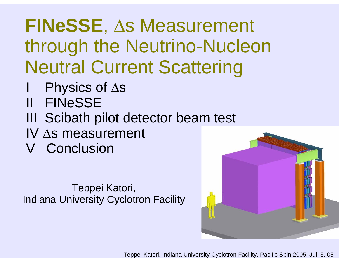### **FINeSSE**, Δs Measurement through the Neutrino-Nucleon Neutral Current Scattering

- Physics of Δs
- II FINeSSE
- III Scibath pilot detector beam test
- IV Δs measurement
- V Conclusion

Teppei Katori, Indiana University Cyclotron Facility

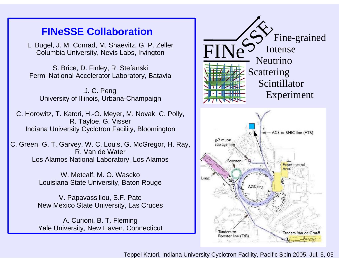#### **FINeSSE Collaboration**

L. Bugel, J. M. Conrad, M. Shaevitz, G. P. Zeller Columbia University, Nevis Labs, Irvington

S. Brice, D. Finley, R. Stefanski Fermi National Accelerator Laboratory, Batavia

J. C. Peng University of Illinois, Urbana-Champaign

C. Horowitz, T. Katori, H.-O. Meyer, M. Novak, C. Polly, R. Tayloe, G. Visser Indiana University Cyclotron Facility, Bloomington

C. Green, G. T. Garvey, W. C. Louis, G. McGregor, H. Ray, R. Van de WaterLos Alamos National Laboratory, Los Alamos

> W. Metcalf, M. O. Wascko Louisiana State University, Baton Rouge

V. Papavassiliou, S.F. Pate New Mexico State University, Las Cruces

A. Curioni, B. T. Fleming Yale University, New Haven, Connecticut

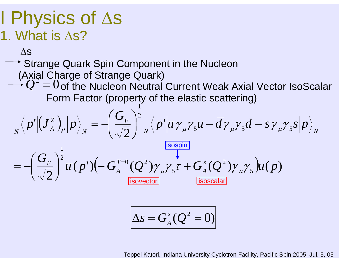### I Physics of Δ<sup>s</sup> 1. What is Δs?

Δs

 $\rightarrow$  Strange Quark Spin Component in the Nucleon

(Axial Charge of Strange Quark)

 $Q^2 = 0$  of the Nucleon Neutral Current Weak Axial Vector IsoScalar Form Factor (property of the elastic scattering) 1

$$
\sqrt[N]{p'}(\mathbf{J}_{A}^{z})_{\mu}|p\rangle_{N} = -\left(\frac{G_{F}}{\sqrt{2}}\right)^{\frac{1}{2}} \sqrt[N]{p'}|\overline{u}\gamma_{\mu}\gamma_{5}u - \overline{d}\gamma_{\mu}\gamma_{5}d - \overline{s}\gamma_{\mu}\gamma_{5}s|p\rangle_{N}
$$
\n
$$
= -\left(\frac{G_{F}}{\sqrt{2}}\right)^{\frac{1}{2}} \overline{u}(p')\left(-G_{A}^{T=0}(Q^{2})\gamma_{\mu}\gamma_{5}\tau + G_{A}^{s}(Q^{2})\gamma_{\mu}\gamma_{5}\right)u(p)
$$
\n
$$
\frac{\text{isospan}}{\text{isoscalar}}
$$
\n
$$
\Delta s = G_{A}^{s}(Q^{2} = 0)
$$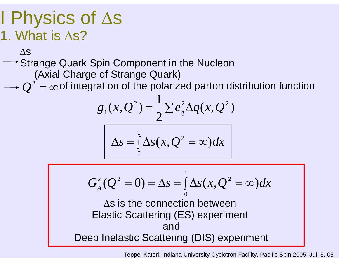### I Physics of Δ<sup>s</sup> 1. What is Δs?

#### Δs

#### Strange Quark Spin Component in the Nucleon (Axial Charge of Strange Quark)

 $Q^2=\infty$  of integration of the polarized parton distribution function

$$
g_1(x,Q^2) = \frac{1}{2}\sum e_q^2 \Delta q(x,Q^2)
$$

$$
\Delta s = \int_{0}^{1} \Delta s(x, Q^2 = \infty) dx
$$

$$
G_A^s(Q^2 = 0) = \Delta s = \int_0^1 \Delta s(x, Q^2 = \infty) dx
$$
  
As is the connection between  
Elastic Scattering (ES) experiment  
and  
Deep Inelastic Scattering (DIS) experiment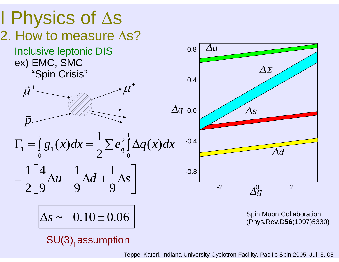

 $SU(3)$ <sub>f</sub> assumption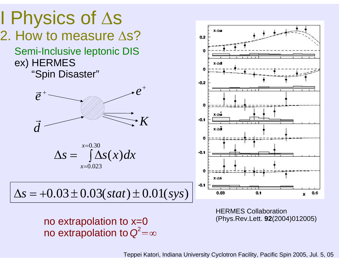

(Phys.Rev.Lett. **92**(2004)012005) no extrapolation to x=0 no extrapolation to  $Q^2$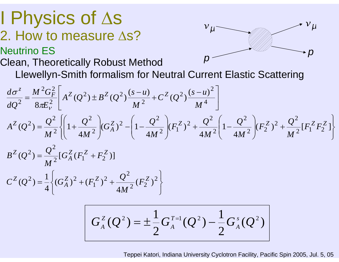### I Physics of Δ<sup>s</sup> 2. How to measure Δs? Neutrino ES

Clean, Theoretically Robust Method Llewellyn-Smith formalism for Neutral Current Elastic Scattering *p p* 

$$
\frac{d\sigma^{z}}{dQ^{2}} = \frac{M^{2}G_{F}^{2}}{8\pi E_{V}^{2}} \left[ A^{Z}(Q^{2}) \pm B^{Z}(Q^{2}) \frac{(s-u)}{M^{2}} + C^{Z}(Q^{2}) \frac{(s-u)^{2}}{M^{4}} \right]
$$
\n
$$
A^{Z}(Q^{2}) = \frac{Q^{2}}{M^{2}} \left\{ \left( 1 + \frac{Q^{2}}{4M^{2}} \right) (G_{A}^{Z})^{2} - \left( 1 - \frac{Q^{2}}{4M^{2}} \right) (F_{1}^{Z})^{2} + \frac{Q^{2}}{4M^{2}} \left( 1 - \frac{Q^{2}}{4M^{2}} \right) (F_{2}^{Z})^{2} + \frac{Q^{2}}{M^{2}} [F_{1}^{Z}F_{2}^{Z}] \right\}
$$
\n
$$
B^{Z}(Q^{2}) = \frac{Q^{2}}{M^{2}} [G_{A}^{Z}(F_{1}^{Z} + F_{2}^{Z})]
$$
\n
$$
C^{Z}(Q^{2}) = \frac{1}{4} \left\{ (G_{A}^{Z})^{2} + (F_{1}^{Z})^{2} + \frac{Q^{2}}{4M^{2}} (F_{2}^{Z})^{2} \right\}
$$

 $v_{\mu}$ 

$$
G_A^Z(Q^2) = \pm \frac{1}{2} G_A^{T=1}(Q^2) - \frac{1}{2} G_A^S(Q^2)
$$

Teppei Katori, Indiana University Cyclotron Facility, Pacific Spin 2005, Jul. 5, 05

 ${}^{\overline{\mathcal{V}}}\mu$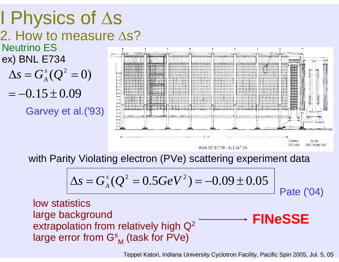

with Parity Violating electron (PVe) scattering experiment data

$$
\Delta s = G_A^s(Q^2 = 0.5 GeV^2) = -0.09 \pm 0.05
$$
   
Pate (04)

low statisticslarge background extrapolation from relatively high  $\mathbb{Q}^2$ large error from  $\mathsf{G}_{\mathsf{M}}^\mathsf{s}$  (task for PVe) **FINeSSE**

Teppei Katori, Indiana University Cyclotron Facility, Pacific Spin 2005, Jul. 5, 05

MAIN DETECTOR, ELEVATION

GAMMA

MOON **SPECTROMETER**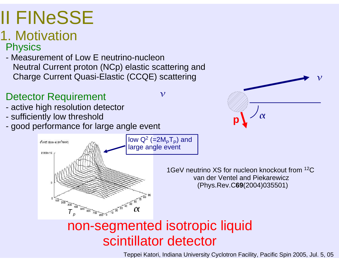## II FINeSSE

### 1. Motivation

**Physics** 

- Measurement of Low E neutrino-nucleon Neutral Current proton (NCp) elastic scattering and Charge Current Quasi-Elastic (CCQE) scattering

#### Detector Requirement

- active high resolution detector
- sufficiently low threshold

d<sup>2</sup>o/dE d(cos a) (fm<sup>2</sup>/MeV)

2.002e-15

good performance for large angle event

 $\overline{300}$   $\overline{400}$ 

 $500$ 

 $\begin{array}{c}\n\hline\n600 \big) 700\n\end{array}$ 

 $80000$ 

 $200$ 

*p*





#### non-segmented isotropic liquid scintillator detector

low  $Q^2$  (=2M<sub>P</sub>T<sub>P</sub>) and

 $\mathcal V$ 

large angle event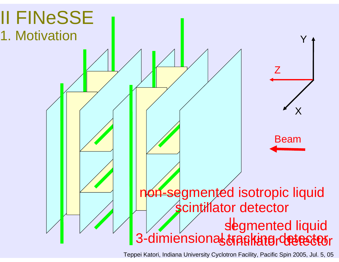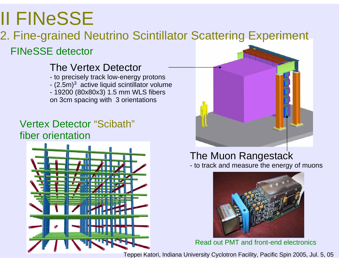## II FINeSSE

### 2. Fine-grained Neutrino Scintillator Scattering Experiment

#### FINeSSE detector

#### The Vertex Detector

- to precisely track low-energy protons
- (2.5m) $^3\,$  active liquid scintillator volume
- 19200 (80x80x3) 1.5 mm WLS fibers on 3cm spacing with 3 orientations

#### Vertex Detector "Scibath" fiber orientation





#### The Muon Rangestack - to track and measure the energy of muons



Read out PMT and front-end electronics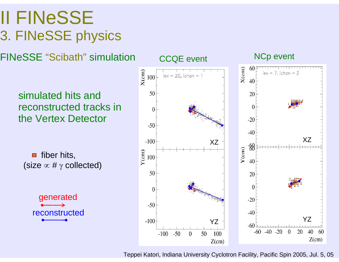### II FINeSSE 3. FINeSSE physics

FINeSSE "Scibath" simulation

simulated hits and reconstructed tracks in the Vertex Detector

fiber hits,  $\blacksquare$ (size  $\propto$  #  $\gamma$  collected)

> generated reconstructed

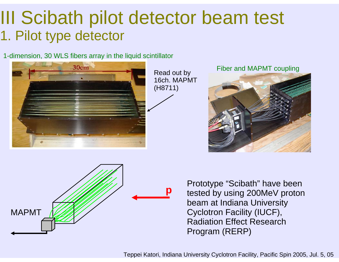### III Scibath pilot detector beam test 1. Pilot type detector

1-dimension, 30 WLS fibers array in the liquid scintillator



Read out by 16ch. MAPMT(H8711)

#### Fiber and MAPMT coupling





Prototype "Scibath" have been tested by using 200MeV proton beam at Indiana University Cyclotron Facility (IUCF), Radiation Effect Research Program (RERP)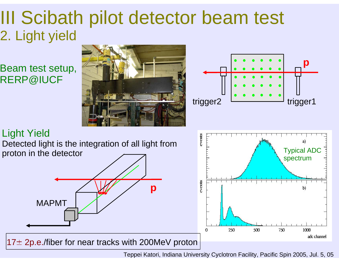### III Scibath pilot detector beam test 2. Light yield

RERP@IUCF





#### Light Yield

Detected light is the integration of all light from proton in the detector



 $17\pm$  2p.e./fiber for near tracks with 200MeV proton

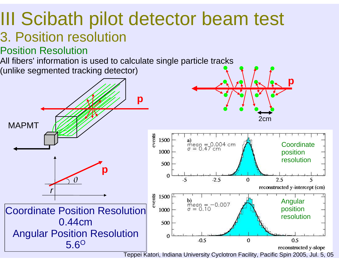#### III Scibath pilot detector beam test 3. Position resolution

Position Resolution

All fibers' information is used to calculate single particle tracks

(unlike segmented tracking detector)

![](_page_14_Figure_4.jpeg)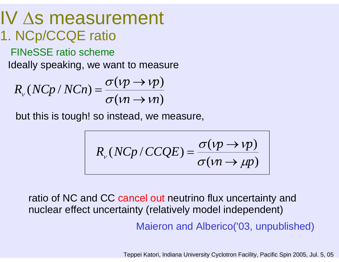#### IV Δs measurement 1. NCp/CCQE ratio

FINeSSE ratio scheme

Ideally speaking, we want to measure

$$
R_v (N C p / N C n) = \frac{\sigma (v p \rightarrow v p)}{\sigma (v n \rightarrow v n)}
$$

but this is tough! so instead, we measure,

$$
R_{v}(NCP/CCQE) = \frac{\sigma(\nu p \to \nu p)}{\sigma(\nu n \to \mu p)}
$$

ratio of NC and CC cancel out neutrino flux uncertainty and nuclear effect uncertainty (relatively model independent)

Maieron and Alberico('03, unpublished)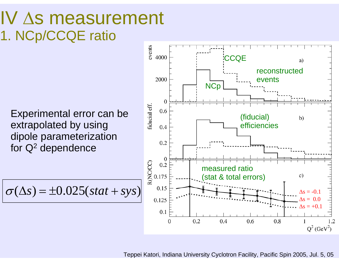### IV Δs measurement 1. NCp/CCQE ratio

Experimental error can be extrapolated by using dipole parameterization for Q2 dependence

$$
\sigma(\Delta s) = \pm 0.025(stat + sys)
$$

![](_page_16_Figure_3.jpeg)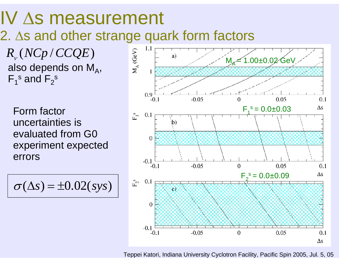### IV Δs measurement

2. Δs and other strange quark form factors

 $R_{_{\nu}}$  (  $N C p$  /  $CC Q E$  ) also depends on  $M_A$ ,  $F_1$ <sup>s</sup> and  $F_2$ <sup>s</sup>

Form factor uncertainties is evaluated from G0 experiment expected errors

$$
\sigma(\Delta s) = \pm 0.02(sys)
$$

![](_page_17_Figure_5.jpeg)

Teppei Katori, Indiana University Cyclotron Facility, Pacific Spin 2005, Jul. 5, 05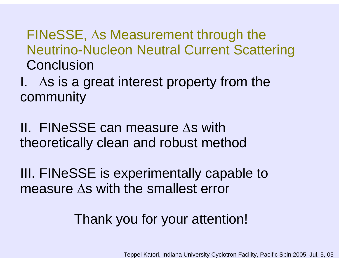#### FINeSSE, Δs Measurement through the Neutrino-Nucleon Neutral Current Scattering Conclusion

I.  $\Delta s$  is a great interest property from the community

II. FINeSSE can measure Δs with theoretically clean and robust method

III. FINeSSE is experimentally capable to measure Δs with the smallest error

#### Thank you for your attention!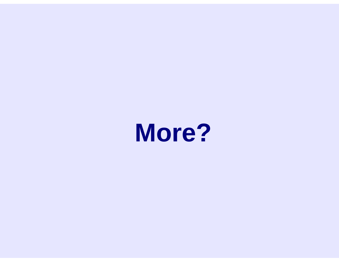![](_page_19_Picture_0.jpeg)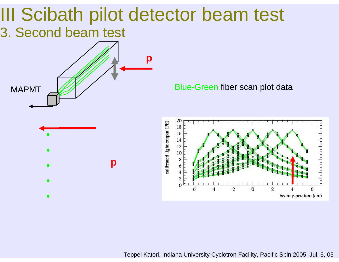#### III Scibath pilot detector beam test 3. Second beam test

![](_page_20_Figure_1.jpeg)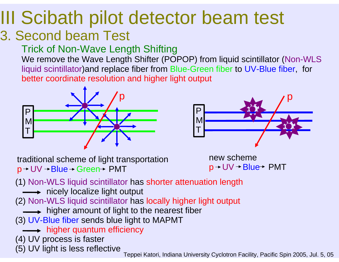# III Scibath pilot detector beam test

#### 3. Second beam Test

#### Trick of Non-Wave Length Shifting

We remove the Wave Length Shifter (POPOP) from liquid scintillator (Non-WLS liquid scintillator)and replace fiber from Blue-Green fiber to UV-Blue fiber, for better coordinate resolution and higher light output

![](_page_21_Figure_4.jpeg)

![](_page_21_Figure_5.jpeg)

traditional scheme of light transportation  $p \rightarrow UV \rightarrow Blue \rightarrow Green \rightarrow PMT$ 

![](_page_21_Figure_7.jpeg)

- (1) Non-WLS liquid scintillator has shorter attenuation length
	- → nicely localize light output
- (2) Non-WLS liquid scintillator has locally higher light output
	- $\longrightarrow$  higher amount of light to the nearest fiber
- (3) UV-Blue fiber sends blue light to MAPMT
	- **Solution in the higher quantum efficiency**
- (4) UV process is faster
- 

(5) UV light is less reflective Teppei Katori, Indiana University Cyclotron Facility, Pacific Spin 2005, Jul. 5, 05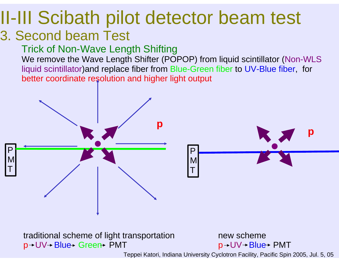#### II-III Scibath pilot detector beam test 3. Second beam Test

#### Trick of Non-Wave Length Shifting

We remove the Wave Length Shifter (POPOP) from liquid scintillator (Non-WLS liquid scintillator)and replace fiber from Blue-Green fiber to UV-Blue fiber, for better coordinate resolution and higher light output

![](_page_22_Figure_3.jpeg)

![](_page_22_Figure_4.jpeg)

traditional scheme of light transportation p→UV→ Blue→ Green→ PMT

new schemep→UV→Blue→ PMT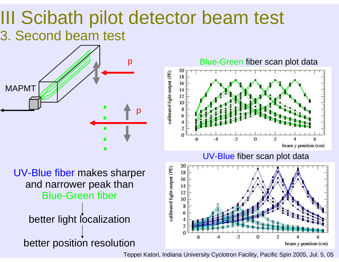### III Scibath pilot detector beam test 3. Second beam test

![](_page_23_Figure_1.jpeg)

Blue-Green fiber scan plot data calibrated light output (PE) 18 -16 14 12 10 8 2  $\theta$  $-2$  $\Omega$  $\overline{\phantom{a}}$ 6 beam y-position (cm)

UV-Blue fiber scan plot data

![](_page_23_Figure_4.jpeg)

UV-Blue fiber makes sharper and narrower peak than Blue-Green fiber better light localization

better position resolution